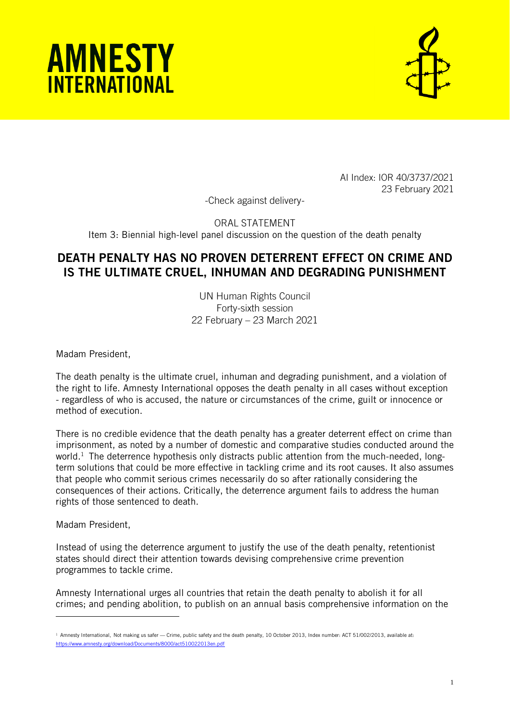



AI Index: IOR 40/3737/2021 23 February 2021

-Check against delivery-

ORAL STATEMENT Item 3: Biennial high-level panel discussion on the question of the death penalty

## DEATH PENALTY HAS NO PROVEN DETERRENT EFFECT ON CRIME AND IS THE ULTIMATE CRUEL, INHUMAN AND DEGRADING PUNISHMENT

UN Human Rights Council Forty-sixth session 22 February – 23 March 2021

Madam President,

The death penalty is the ultimate cruel, inhuman and degrading punishment, and a violation of the right to life. Amnesty International opposes the death penalty in all cases without exception - regardless of who is accused, the nature or circumstances of the crime, guilt or innocence or method of execution.

There is no credible evidence that the death penalty has a greater deterrent effect on crime than imprisonment, as noted by a number of domestic and comparative studies conducted around the world.<sup>1</sup> The deterrence hypothesis only distracts public attention from the much-needed, longterm solutions that could be more effective in tackling crime and its root causes. It also assumes that people who commit serious crimes necessarily do so after rationally considering the consequences of their actions. Critically, the deterrence argument fails to address the human rights of those sentenced to death.

Madam President,

Instead of using the deterrence argument to justify the use of the death penalty, retentionist states should direct their attention towards devising comprehensive crime prevention programmes to tackle crime.

Amnesty International urges all countries that retain the death penalty to abolish it for all crimes; and pending abolition, to publish on an annual basis comprehensive information on the

 $1$  Amnesty International, Not making us safer — Crime, public safety and the death penalty, 10 October 2013, Index number: ACT 51/002/2013, available at: hts/8000/act510022013en.pdf